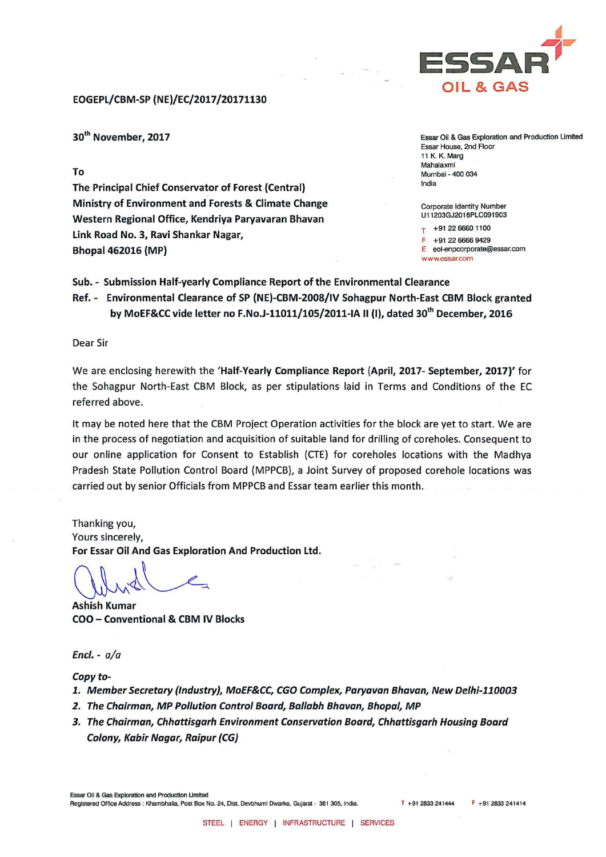

## EOGEPL/CBM-SP (NE)/EC/2017/20171130

30<sup>th</sup> November, 2017

To

The Principal Chief Conservator of Forest (Central) Ministry of Environment and Forests & Climate Change Western Regional Office, Kendriya Paryavaran Bhavan Link Road No. 3, Ravi Shankar Nagar, **Bhopal 462016 (MP)** 

Essar Oil & Gas Exploration and Production Limited **Essar House, 2nd Floor** 11 K. K. Marg Mahalaxmi Mumbai - 400 034 India

Corporate Identity Number U11203GJ2016PLC091903

+91 22 6660 1100 +91 22 6666 9429 E eol-enpcorporate@essar.com www.essar.com

Sub. - Submission Half-yearly Compliance Report of the Environmental Clearance Ref. - Environmental Clearance of SP (NE)-CBM-2008/IV Sohagpur North-East CBM Block granted by MoEF&CC vide letter no F.No.J-11011/105/2011-IA II (I), dated 30<sup>th</sup> December, 2016

Dear Sir

We are enclosing herewith the 'Half-Yearly Compliance Report (April, 2017- September, 2017)' for the Sohagpur North-East CBM Block, as per stipulations laid in Terms and Conditions of the EC referred above.

It may be noted here that the CBM Project Operation activities for the block are yet to start. We are in the process of negotiation and acquisition of suitable land for drilling of coreholes. Consequent to our online application for Consent to Establish (CTE) for coreholes locations with the Madhya Pradesh State Pollution Control Board (MPPCB), a Joint Survey of proposed corehole locations was carried out by senior Officials from MPPCB and Essar team earlier this month.

Thanking you, Yours sincerely, For Essar Oil And Gas Exploration And Production Ltd.

**Ashish Kumar** COO - Conventional & CBM IV Blocks

Encl. -  $a/a$ 

Copy to-

- 1. Member Secretary (Industry), MoEF&CC, CGO Complex, Paryavan Bhavan, New Delhi-110003
- 2. The Chairman, MP Pollution Control Board, Ballabh Bhavan, Bhopal, MP
- 3. The Chairman, Chhattisgarh Environment Conservation Board, Chhattisgarh Housing Board Colony, Kabir Nagar, Raipur (CG)

Essar Oil & Gas Exploration and Production Limited Registered Office Address : Khambhalia, Post Box No. 24, Dist, Devbhumi Dwarka, Gujarat - 361 305, India. T +91 2833 241444  $F + 912833241414$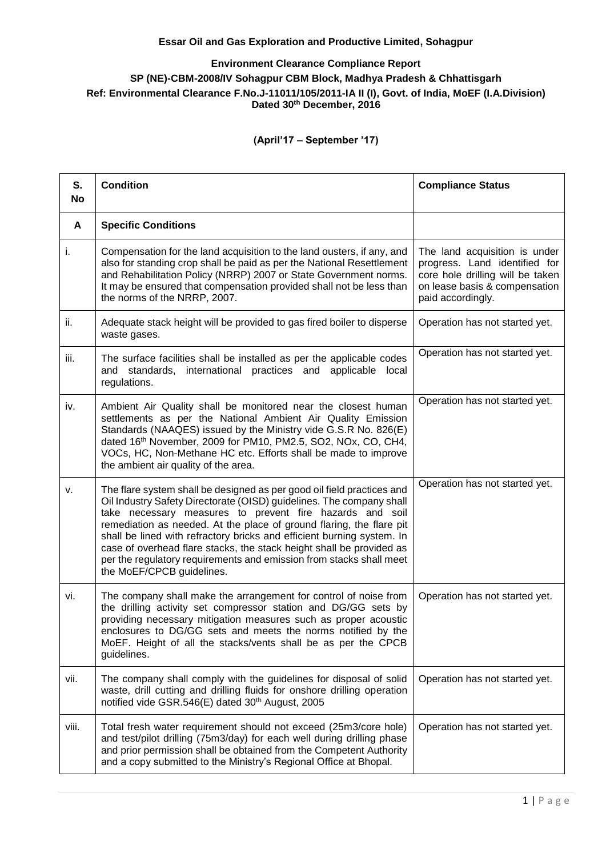## **Essar Oil and Gas Exploration and Productive Limited, Sohagpur**

## **Environment Clearance Compliance Report SP (NE)-CBM-2008/IV Sohagpur CBM Block, Madhya Pradesh & Chhattisgarh Ref: Environmental Clearance F.No.J-11011/105/2011-IA II (I), Govt. of India, MoEF (I.A.Division) Dated 30th December, 2016**

**(April'17 – September '17)** 

| S.<br><b>No</b> | <b>Condition</b>                                                                                                                                                                                                                                                                                                                                                                                                                                                                                                                         | <b>Compliance Status</b>                                                                                                                                 |
|-----------------|------------------------------------------------------------------------------------------------------------------------------------------------------------------------------------------------------------------------------------------------------------------------------------------------------------------------------------------------------------------------------------------------------------------------------------------------------------------------------------------------------------------------------------------|----------------------------------------------------------------------------------------------------------------------------------------------------------|
| $\mathsf{A}$    | <b>Specific Conditions</b>                                                                                                                                                                                                                                                                                                                                                                                                                                                                                                               |                                                                                                                                                          |
| i.              | Compensation for the land acquisition to the land ousters, if any, and<br>also for standing crop shall be paid as per the National Resettlement<br>and Rehabilitation Policy (NRRP) 2007 or State Government norms.<br>It may be ensured that compensation provided shall not be less than<br>the norms of the NRRP, 2007.                                                                                                                                                                                                               | The land acquisition is under<br>progress. Land identified for<br>core hole drilling will be taken<br>on lease basis & compensation<br>paid accordingly. |
| ii.             | Adequate stack height will be provided to gas fired boiler to disperse<br>waste gases.                                                                                                                                                                                                                                                                                                                                                                                                                                                   | Operation has not started yet.                                                                                                                           |
| iii.            | The surface facilities shall be installed as per the applicable codes<br>and standards, international practices and applicable local<br>regulations.                                                                                                                                                                                                                                                                                                                                                                                     | Operation has not started yet.                                                                                                                           |
| iv.             | Ambient Air Quality shall be monitored near the closest human<br>settlements as per the National Ambient Air Quality Emission<br>Standards (NAAQES) issued by the Ministry vide G.S.R No. 826(E)<br>dated 16th November, 2009 for PM10, PM2.5, SO2, NOx, CO, CH4,<br>VOCs, HC, Non-Methane HC etc. Efforts shall be made to improve<br>the ambient air quality of the area.                                                                                                                                                              | Operation has not started yet.                                                                                                                           |
| v.              | The flare system shall be designed as per good oil field practices and<br>Oil Industry Safety Directorate (OISD) guidelines. The company shall<br>take necessary measures to prevent fire hazards and soil<br>remediation as needed. At the place of ground flaring, the flare pit<br>shall be lined with refractory bricks and efficient burning system. In<br>case of overhead flare stacks, the stack height shall be provided as<br>per the regulatory requirements and emission from stacks shall meet<br>the MoEF/CPCB guidelines. | Operation has not started yet.                                                                                                                           |
| vi.             | The company shall make the arrangement for control of noise from<br>the drilling activity set compressor station and DG/GG sets by<br>providing necessary mitigation measures such as proper acoustic<br>enclosures to DG/GG sets and meets the norms notified by the<br>MoEF. Height of all the stacks/vents shall be as per the CPCB<br>guidelines.                                                                                                                                                                                    | Operation has not started yet.                                                                                                                           |
| vii.            | The company shall comply with the guidelines for disposal of solid<br>waste, drill cutting and drilling fluids for onshore drilling operation<br>notified vide GSR.546(E) dated 30 <sup>th</sup> August, 2005                                                                                                                                                                                                                                                                                                                            | Operation has not started yet.                                                                                                                           |
| viii.           | Total fresh water requirement should not exceed (25m3/core hole)<br>and test/pilot drilling (75m3/day) for each well during drilling phase<br>and prior permission shall be obtained from the Competent Authority<br>and a copy submitted to the Ministry's Regional Office at Bhopal.                                                                                                                                                                                                                                                   | Operation has not started yet.                                                                                                                           |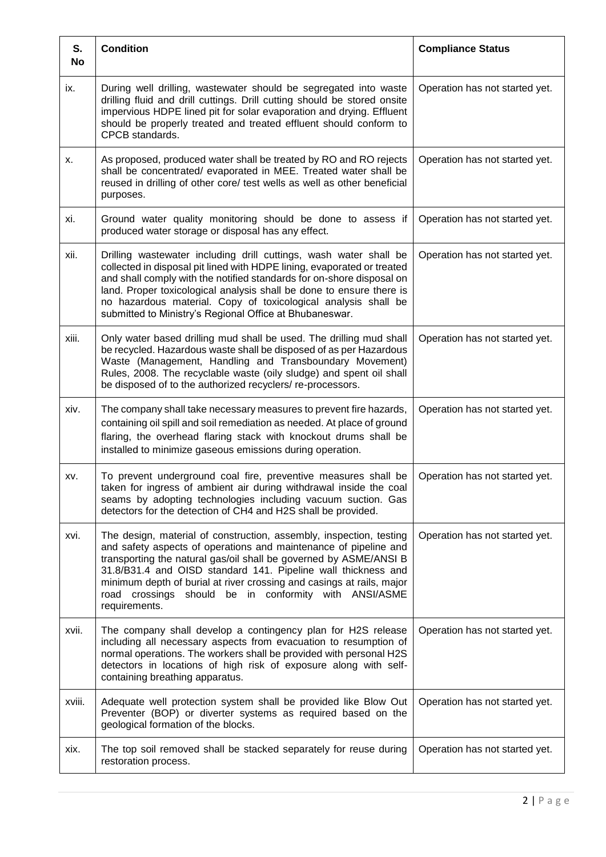| S.<br>No | <b>Condition</b>                                                                                                                                                                                                                                                                                                                                                                                                                    | <b>Compliance Status</b>       |
|----------|-------------------------------------------------------------------------------------------------------------------------------------------------------------------------------------------------------------------------------------------------------------------------------------------------------------------------------------------------------------------------------------------------------------------------------------|--------------------------------|
| ix.      | During well drilling, wastewater should be segregated into waste<br>drilling fluid and drill cuttings. Drill cutting should be stored onsite<br>impervious HDPE lined pit for solar evaporation and drying. Effluent<br>should be properly treated and treated effluent should conform to<br>CPCB standards.                                                                                                                        | Operation has not started yet. |
| х.       | As proposed, produced water shall be treated by RO and RO rejects<br>shall be concentrated/ evaporated in MEE. Treated water shall be<br>reused in drilling of other core/ test wells as well as other beneficial<br>purposes.                                                                                                                                                                                                      | Operation has not started yet. |
| xi.      | Ground water quality monitoring should be done to assess if<br>produced water storage or disposal has any effect.                                                                                                                                                                                                                                                                                                                   | Operation has not started yet. |
| xii.     | Drilling wastewater including drill cuttings, wash water shall be<br>collected in disposal pit lined with HDPE lining, evaporated or treated<br>and shall comply with the notified standards for on-shore disposal on<br>land. Proper toxicological analysis shall be done to ensure there is<br>no hazardous material. Copy of toxicological analysis shall be<br>submitted to Ministry's Regional Office at Bhubaneswar.          | Operation has not started yet. |
| xiii.    | Only water based drilling mud shall be used. The drilling mud shall<br>be recycled. Hazardous waste shall be disposed of as per Hazardous<br>Waste (Management, Handling and Transboundary Movement)<br>Rules, 2008. The recyclable waste (oily sludge) and spent oil shall<br>be disposed of to the authorized recyclers/re-processors.                                                                                            | Operation has not started yet. |
| xiv.     | The company shall take necessary measures to prevent fire hazards,<br>containing oil spill and soil remediation as needed. At place of ground<br>flaring, the overhead flaring stack with knockout drums shall be<br>installed to minimize gaseous emissions during operation.                                                                                                                                                      | Operation has not started yet. |
| XV.      | To prevent underground coal fire, preventive measures shall be<br>taken for ingress of ambient air during withdrawal inside the coal<br>seams by adopting technologies including vacuum suction. Gas<br>detectors for the detection of CH4 and H2S shall be provided.                                                                                                                                                               | Operation has not started yet. |
| xvi.     | The design, material of construction, assembly, inspection, testing<br>and safety aspects of operations and maintenance of pipeline and<br>transporting the natural gas/oil shall be governed by ASME/ANSI B<br>31.8/B31.4 and OISD standard 141. Pipeline wall thickness and<br>minimum depth of burial at river crossing and casings at rails, major<br>should be in conformity with ANSI/ASME<br>road crossings<br>requirements. | Operation has not started yet. |
| xvii.    | The company shall develop a contingency plan for H2S release<br>including all necessary aspects from evacuation to resumption of<br>normal operations. The workers shall be provided with personal H2S<br>detectors in locations of high risk of exposure along with self-<br>containing breathing apparatus.                                                                                                                       | Operation has not started yet. |
| xviii.   | Adequate well protection system shall be provided like Blow Out<br>Preventer (BOP) or diverter systems as required based on the<br>geological formation of the blocks.                                                                                                                                                                                                                                                              | Operation has not started yet. |
| xix.     | The top soil removed shall be stacked separately for reuse during<br>restoration process.                                                                                                                                                                                                                                                                                                                                           | Operation has not started yet. |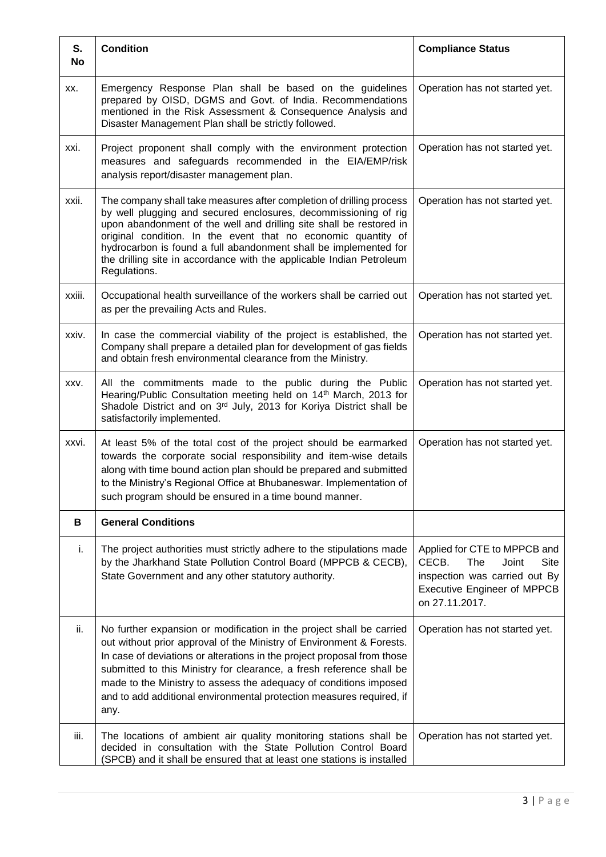| S.<br><b>No</b> | <b>Condition</b>                                                                                                                                                                                                                                                                                                                                                                                                                                     | <b>Compliance Status</b>                                                                                                                               |
|-----------------|------------------------------------------------------------------------------------------------------------------------------------------------------------------------------------------------------------------------------------------------------------------------------------------------------------------------------------------------------------------------------------------------------------------------------------------------------|--------------------------------------------------------------------------------------------------------------------------------------------------------|
| XX.             | Emergency Response Plan shall be based on the guidelines<br>prepared by OISD, DGMS and Govt. of India. Recommendations<br>mentioned in the Risk Assessment & Consequence Analysis and<br>Disaster Management Plan shall be strictly followed.                                                                                                                                                                                                        | Operation has not started yet.                                                                                                                         |
| xxi.            | Project proponent shall comply with the environment protection<br>measures and safeguards recommended in the EIA/EMP/risk<br>analysis report/disaster management plan.                                                                                                                                                                                                                                                                               | Operation has not started yet.                                                                                                                         |
| xxii.           | The company shall take measures after completion of drilling process<br>by well plugging and secured enclosures, decommissioning of rig<br>upon abandonment of the well and drilling site shall be restored in<br>original condition. In the event that no economic quantity of<br>hydrocarbon is found a full abandonment shall be implemented for<br>the drilling site in accordance with the applicable Indian Petroleum<br>Regulations.          | Operation has not started yet.                                                                                                                         |
| xxiii.          | Occupational health surveillance of the workers shall be carried out<br>as per the prevailing Acts and Rules.                                                                                                                                                                                                                                                                                                                                        | Operation has not started yet.                                                                                                                         |
| xxiv.           | In case the commercial viability of the project is established, the<br>Company shall prepare a detailed plan for development of gas fields<br>and obtain fresh environmental clearance from the Ministry.                                                                                                                                                                                                                                            | Operation has not started yet.                                                                                                                         |
| XXV.            | All the commitments made to the public during the Public<br>Hearing/Public Consultation meeting held on 14th March, 2013 for<br>Shadole District and on 3rd July, 2013 for Koriya District shall be<br>satisfactorily implemented.                                                                                                                                                                                                                   | Operation has not started yet.                                                                                                                         |
| xxvi.           | At least 5% of the total cost of the project should be earmarked<br>towards the corporate social responsibility and item-wise details<br>along with time bound action plan should be prepared and submitted<br>to the Ministry's Regional Office at Bhubaneswar. Implementation of<br>such program should be ensured in a time bound manner.                                                                                                         | Operation has not started yet.                                                                                                                         |
| В               | <b>General Conditions</b>                                                                                                                                                                                                                                                                                                                                                                                                                            |                                                                                                                                                        |
| i.              | The project authorities must strictly adhere to the stipulations made<br>by the Jharkhand State Pollution Control Board (MPPCB & CECB),<br>State Government and any other statutory authority.                                                                                                                                                                                                                                                       | Applied for CTE to MPPCB and<br>CECB.<br>The<br>Site<br>Joint<br>inspection was carried out By<br><b>Executive Engineer of MPPCB</b><br>on 27.11.2017. |
| ii.             | No further expansion or modification in the project shall be carried<br>out without prior approval of the Ministry of Environment & Forests.<br>In case of deviations or alterations in the project proposal from those<br>submitted to this Ministry for clearance, a fresh reference shall be<br>made to the Ministry to assess the adequacy of conditions imposed<br>and to add additional environmental protection measures required, if<br>any. | Operation has not started yet.                                                                                                                         |
| iii.            | The locations of ambient air quality monitoring stations shall be<br>decided in consultation with the State Pollution Control Board<br>(SPCB) and it shall be ensured that at least one stations is installed                                                                                                                                                                                                                                        | Operation has not started yet.                                                                                                                         |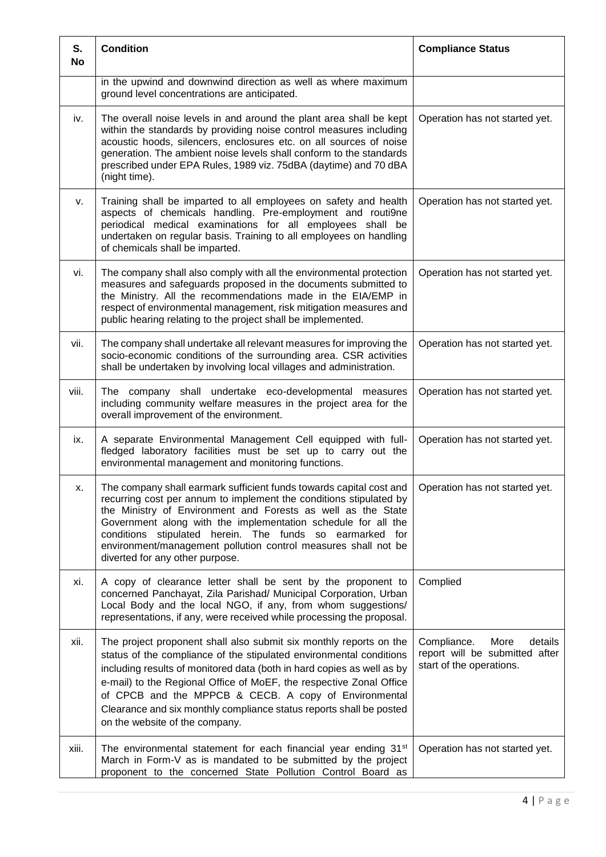| S.<br>No | <b>Condition</b>                                                                                                                                                                                                                                                                                                                                                                                                                                             | <b>Compliance Status</b>                                                                     |
|----------|--------------------------------------------------------------------------------------------------------------------------------------------------------------------------------------------------------------------------------------------------------------------------------------------------------------------------------------------------------------------------------------------------------------------------------------------------------------|----------------------------------------------------------------------------------------------|
|          | in the upwind and downwind direction as well as where maximum<br>ground level concentrations are anticipated.                                                                                                                                                                                                                                                                                                                                                |                                                                                              |
| iv.      | The overall noise levels in and around the plant area shall be kept<br>within the standards by providing noise control measures including<br>acoustic hoods, silencers, enclosures etc. on all sources of noise<br>generation. The ambient noise levels shall conform to the standards<br>prescribed under EPA Rules, 1989 viz. 75dBA (daytime) and 70 dBA<br>(night time).                                                                                  | Operation has not started yet.                                                               |
| v.       | Training shall be imparted to all employees on safety and health<br>aspects of chemicals handling. Pre-employment and routi9ne<br>periodical medical examinations for all employees shall be<br>undertaken on regular basis. Training to all employees on handling<br>of chemicals shall be imparted.                                                                                                                                                        | Operation has not started yet.                                                               |
| vi.      | The company shall also comply with all the environmental protection<br>measures and safeguards proposed in the documents submitted to<br>the Ministry. All the recommendations made in the EIA/EMP in<br>respect of environmental management, risk mitigation measures and<br>public hearing relating to the project shall be implemented.                                                                                                                   | Operation has not started yet.                                                               |
| vii.     | The company shall undertake all relevant measures for improving the<br>socio-economic conditions of the surrounding area. CSR activities<br>shall be undertaken by involving local villages and administration.                                                                                                                                                                                                                                              | Operation has not started yet.                                                               |
| viii.    | The company shall undertake eco-developmental measures<br>including community welfare measures in the project area for the<br>overall improvement of the environment.                                                                                                                                                                                                                                                                                        | Operation has not started yet.                                                               |
| ix.      | A separate Environmental Management Cell equipped with full-<br>fledged laboratory facilities must be set up to carry out the<br>environmental management and monitoring functions.                                                                                                                                                                                                                                                                          | Operation has not started yet.                                                               |
| х.       | The company shall earmark sufficient funds towards capital cost and<br>recurring cost per annum to implement the conditions stipulated by<br>the Ministry of Environment and Forests as well as the State<br>Government along with the implementation schedule for all the<br>conditions stipulated herein. The funds so earmarked for<br>environment/management pollution control measures shall not be<br>diverted for any other purpose.                  | Operation has not started yet.                                                               |
| xi.      | A copy of clearance letter shall be sent by the proponent to<br>concerned Panchayat, Zila Parishad/ Municipal Corporation, Urban<br>Local Body and the local NGO, if any, from whom suggestions/<br>representations, if any, were received while processing the proposal.                                                                                                                                                                                    | Complied                                                                                     |
| xii.     | The project proponent shall also submit six monthly reports on the<br>status of the compliance of the stipulated environmental conditions<br>including results of monitored data (both in hard copies as well as by<br>e-mail) to the Regional Office of MoEF, the respective Zonal Office<br>of CPCB and the MPPCB & CECB. A copy of Environmental<br>Clearance and six monthly compliance status reports shall be posted<br>on the website of the company. | Compliance.<br>More<br>details<br>report will be submitted after<br>start of the operations. |
| xiii.    | The environmental statement for each financial year ending 31 <sup>st</sup><br>March in Form-V as is mandated to be submitted by the project<br>proponent to the concerned State Pollution Control Board as                                                                                                                                                                                                                                                  | Operation has not started yet.                                                               |